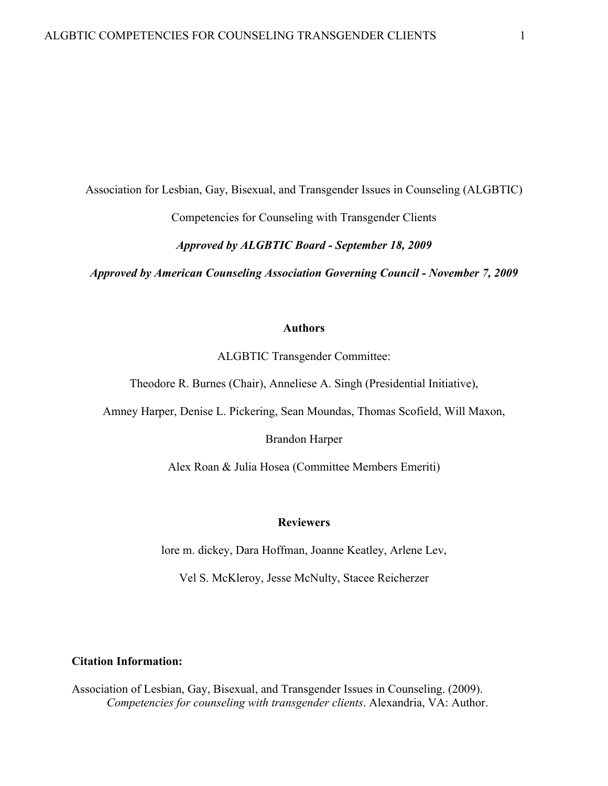Association for Lesbian, Gay, Bisexual, and Transgender Issues in Counseling (ALGBTIC)

Competencies for Counseling with Transgender Clients

*Approved by ALGBTIC Board - September 18, 2009*

*Approved by American Counseling Association Governing Council - November 7, 2009*

### **Authors**

ALGBTIC Transgender Committee:

Theodore R. Burnes (Chair), Anneliese A. Singh (Presidential Initiative),

Amney Harper, Denise L. Pickering, Sean Moundas, Thomas Scofield, Will Maxon,

Brandon Harper

Alex Roan & Julia Hosea (Committee Members Emeriti)

### **Reviewers**

lore m. dickey, Dara Hoffman, Joanne Keatley, Arlene Lev,

Vel S. McKleroy, Jesse McNulty, Stacee Reicherzer

### **Citation Information:**

Association of Lesbian, Gay, Bisexual, and Transgender Issues in Counseling. (2009). *Competencies for counseling with transgender clients*. Alexandria, VA: Author.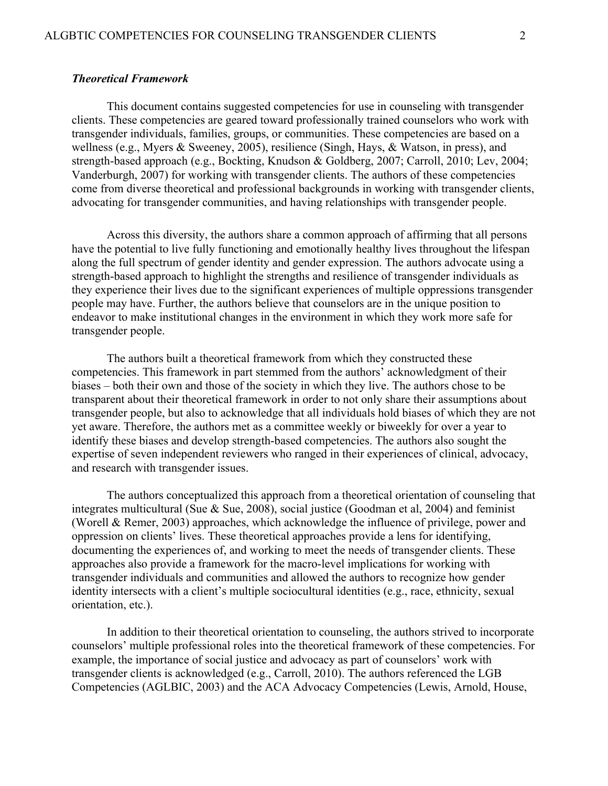## *Theoretical Framework*

This document contains suggested competencies for use in counseling with transgender clients. These competencies are geared toward professionally trained counselors who work with transgender individuals, families, groups, or communities. These competencies are based on a wellness (e.g., Myers & Sweeney, 2005), resilience (Singh, Hays, & Watson, in press), and strength-based approach (e.g., Bockting, Knudson & Goldberg, 2007; Carroll, 2010; Lev, 2004; Vanderburgh, 2007) for working with transgender clients. The authors of these competencies come from diverse theoretical and professional backgrounds in working with transgender clients, advocating for transgender communities, and having relationships with transgender people.

Across this diversity, the authors share a common approach of affirming that all persons have the potential to live fully functioning and emotionally healthy lives throughout the lifespan along the full spectrum of gender identity and gender expression. The authors advocate using a strength-based approach to highlight the strengths and resilience of transgender individuals as they experience their lives due to the significant experiences of multiple oppressions transgender people may have. Further, the authors believe that counselors are in the unique position to endeavor to make institutional changes in the environment in which they work more safe for transgender people.

The authors built a theoretical framework from which they constructed these competencies. This framework in part stemmed from the authors' acknowledgment of their biases – both their own and those of the society in which they live. The authors chose to be transparent about their theoretical framework in order to not only share their assumptions about transgender people, but also to acknowledge that all individuals hold biases of which they are not yet aware. Therefore, the authors met as a committee weekly or biweekly for over a year to identify these biases and develop strength-based competencies. The authors also sought the expertise of seven independent reviewers who ranged in their experiences of clinical, advocacy, and research with transgender issues.

The authors conceptualized this approach from a theoretical orientation of counseling that integrates multicultural (Sue & Sue, 2008), social justice (Goodman et al, 2004) and feminist (Worell & Remer, 2003) approaches, which acknowledge the influence of privilege, power and oppression on clients' lives. These theoretical approaches provide a lens for identifying, documenting the experiences of, and working to meet the needs of transgender clients. These approaches also provide a framework for the macro-level implications for working with transgender individuals and communities and allowed the authors to recognize how gender identity intersects with a client's multiple sociocultural identities (e.g., race, ethnicity, sexual orientation, etc.).

In addition to their theoretical orientation to counseling, the authors strived to incorporate counselors' multiple professional roles into the theoretical framework of these competencies. For example, the importance of social justice and advocacy as part of counselors' work with transgender clients is acknowledged (e.g., Carroll, 2010). The authors referenced the LGB Competencies (AGLBIC, 2003) and the ACA Advocacy Competencies (Lewis, Arnold, House,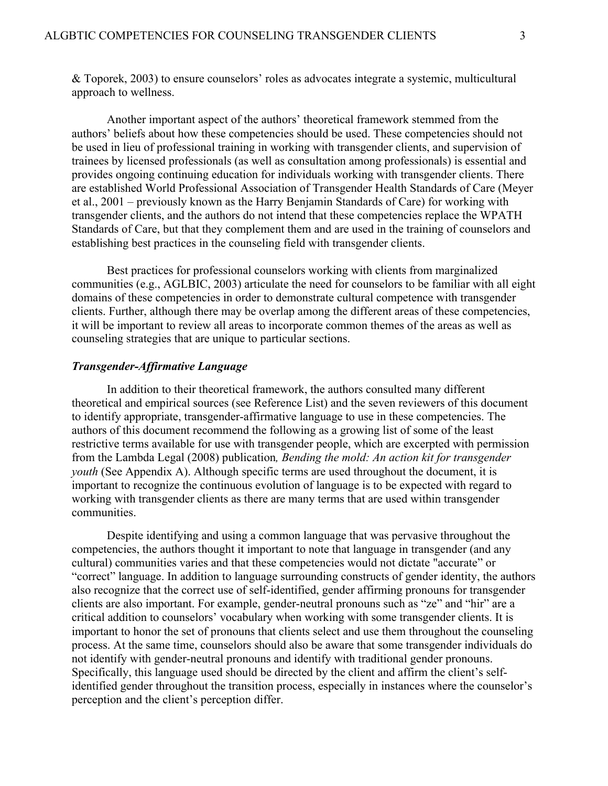& Toporek, 2003) to ensure counselors' roles as advocates integrate a systemic, multicultural approach to wellness.

Another important aspect of the authors' theoretical framework stemmed from the authors' beliefs about how these competencies should be used. These competencies should not be used in lieu of professional training in working with transgender clients, and supervision of trainees by licensed professionals (as well as consultation among professionals) is essential and provides ongoing continuing education for individuals working with transgender clients. There are established World Professional Association of Transgender Health Standards of Care (Meyer et al., 2001 – previously known as the Harry Benjamin Standards of Care) for working with transgender clients, and the authors do not intend that these competencies replace the WPATH Standards of Care, but that they complement them and are used in the training of counselors and establishing best practices in the counseling field with transgender clients.

Best practices for professional counselors working with clients from marginalized communities (e.g., AGLBIC, 2003) articulate the need for counselors to be familiar with all eight domains of these competencies in order to demonstrate cultural competence with transgender clients. Further, although there may be overlap among the different areas of these competencies, it will be important to review all areas to incorporate common themes of the areas as well as counseling strategies that are unique to particular sections.

# *Transgender-Affirmative Language*

In addition to their theoretical framework, the authors consulted many different theoretical and empirical sources (see Reference List) and the seven reviewers of this document to identify appropriate, transgender-affirmative language to use in these competencies. The authors of this document recommend the following as a growing list of some of the least restrictive terms available for use with transgender people, which are excerpted with permission from the Lambda Legal (2008) publication*, Bending the mold: An action kit for transgender youth* (See Appendix A). Although specific terms are used throughout the document, it is important to recognize the continuous evolution of language is to be expected with regard to working with transgender clients as there are many terms that are used within transgender communities.

Despite identifying and using a common language that was pervasive throughout the competencies, the authors thought it important to note that language in transgender (and any cultural) communities varies and that these competencies would not dictate "accurate" or "correct" language. In addition to language surrounding constructs of gender identity, the authors also recognize that the correct use of self-identified, gender affirming pronouns for transgender clients are also important. For example, gender-neutral pronouns such as "ze" and "hir" are a critical addition to counselors' vocabulary when working with some transgender clients. It is important to honor the set of pronouns that clients select and use them throughout the counseling process. At the same time, counselors should also be aware that some transgender individuals do not identify with gender-neutral pronouns and identify with traditional gender pronouns. Specifically, this language used should be directed by the client and affirm the client's selfidentified gender throughout the transition process, especially in instances where the counselor's perception and the client's perception differ.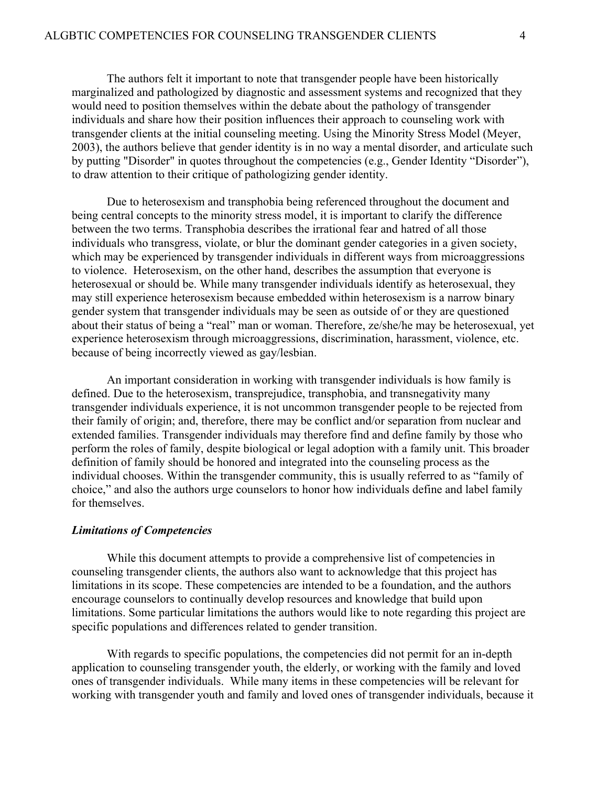The authors felt it important to note that transgender people have been historically marginalized and pathologized by diagnostic and assessment systems and recognized that they would need to position themselves within the debate about the pathology of transgender individuals and share how their position influences their approach to counseling work with transgender clients at the initial counseling meeting. Using the Minority Stress Model (Meyer, 2003), the authors believe that gender identity is in no way a mental disorder, and articulate such by putting "Disorder" in quotes throughout the competencies (e.g., Gender Identity "Disorder"), to draw attention to their critique of pathologizing gender identity.

Due to heterosexism and transphobia being referenced throughout the document and being central concepts to the minority stress model, it is important to clarify the difference between the two terms. Transphobia describes the irrational fear and hatred of all those individuals who transgress, violate, or blur the dominant gender categories in a given society, which may be experienced by transgender individuals in different ways from microaggressions to violence. Heterosexism, on the other hand, describes the assumption that everyone is heterosexual or should be. While many transgender individuals identify as heterosexual, they may still experience heterosexism because embedded within heterosexism is a narrow binary gender system that transgender individuals may be seen as outside of or they are questioned about their status of being a "real" man or woman. Therefore, ze/she/he may be heterosexual, yet experience heterosexism through microaggressions, discrimination, harassment, violence, etc. because of being incorrectly viewed as gay/lesbian.

An important consideration in working with transgender individuals is how family is defined. Due to the heterosexism, transprejudice, transphobia, and transnegativity many transgender individuals experience, it is not uncommon transgender people to be rejected from their family of origin; and, therefore, there may be conflict and/or separation from nuclear and extended families. Transgender individuals may therefore find and define family by those who perform the roles of family, despite biological or legal adoption with a family unit. This broader definition of family should be honored and integrated into the counseling process as the individual chooses. Within the transgender community, this is usually referred to as "family of choice," and also the authors urge counselors to honor how individuals define and label family for themselves.

#### *Limitations of Competencies*

While this document attempts to provide a comprehensive list of competencies in counseling transgender clients, the authors also want to acknowledge that this project has limitations in its scope. These competencies are intended to be a foundation, and the authors encourage counselors to continually develop resources and knowledge that build upon limitations. Some particular limitations the authors would like to note regarding this project are specific populations and differences related to gender transition.

With regards to specific populations, the competencies did not permit for an in-depth application to counseling transgender youth, the elderly, or working with the family and loved ones of transgender individuals. While many items in these competencies will be relevant for working with transgender youth and family and loved ones of transgender individuals, because it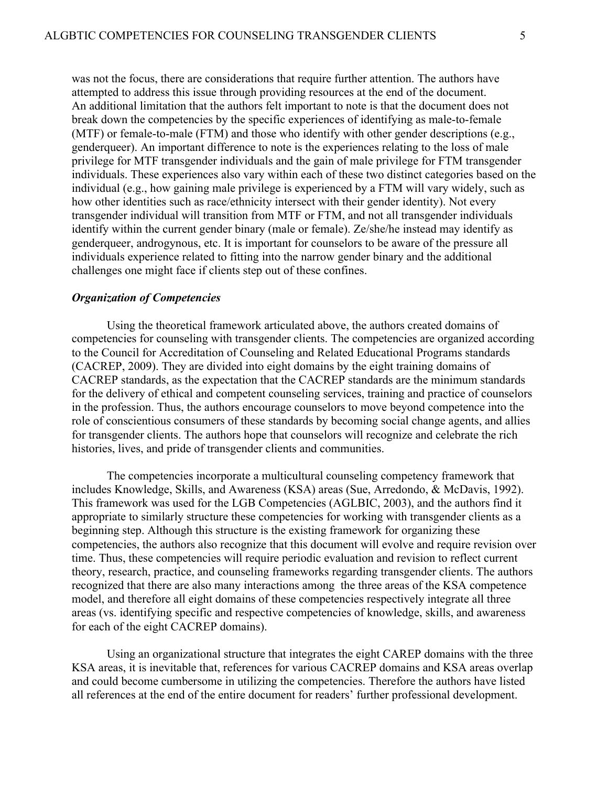was not the focus, there are considerations that require further attention. The authors have attempted to address this issue through providing resources at the end of the document. An additional limitation that the authors felt important to note is that the document does not break down the competencies by the specific experiences of identifying as male-to-female (MTF) or female-to-male (FTM) and those who identify with other gender descriptions (e.g., genderqueer). An important difference to note is the experiences relating to the loss of male privilege for MTF transgender individuals and the gain of male privilege for FTM transgender individuals. These experiences also vary within each of these two distinct categories based on the individual (e.g., how gaining male privilege is experienced by a FTM will vary widely, such as how other identities such as race/ethnicity intersect with their gender identity). Not every transgender individual will transition from MTF or FTM, and not all transgender individuals identify within the current gender binary (male or female). Ze/she/he instead may identify as genderqueer, androgynous, etc. It is important for counselors to be aware of the pressure all individuals experience related to fitting into the narrow gender binary and the additional challenges one might face if clients step out of these confines.

#### *Organization of Competencies*

Using the theoretical framework articulated above, the authors created domains of competencies for counseling with transgender clients. The competencies are organized according to the Council for Accreditation of Counseling and Related Educational Programs standards (CACREP, 2009). They are divided into eight domains by the eight training domains of CACREP standards, as the expectation that the CACREP standards are the minimum standards for the delivery of ethical and competent counseling services, training and practice of counselors in the profession. Thus, the authors encourage counselors to move beyond competence into the role of conscientious consumers of these standards by becoming social change agents, and allies for transgender clients. The authors hope that counselors will recognize and celebrate the rich histories, lives, and pride of transgender clients and communities.

The competencies incorporate a multicultural counseling competency framework that includes Knowledge, Skills, and Awareness (KSA) areas (Sue, Arredondo, & McDavis, 1992). This framework was used for the LGB Competencies (AGLBIC, 2003), and the authors find it appropriate to similarly structure these competencies for working with transgender clients as a beginning step. Although this structure is the existing framework for organizing these competencies, the authors also recognize that this document will evolve and require revision over time. Thus, these competencies will require periodic evaluation and revision to reflect current theory, research, practice, and counseling frameworks regarding transgender clients. The authors recognized that there are also many interactions among the three areas of the KSA competence model, and therefore all eight domains of these competencies respectively integrate all three areas (vs. identifying specific and respective competencies of knowledge, skills, and awareness for each of the eight CACREP domains).

Using an organizational structure that integrates the eight CAREP domains with the three KSA areas, it is inevitable that, references for various CACREP domains and KSA areas overlap and could become cumbersome in utilizing the competencies. Therefore the authors have listed all references at the end of the entire document for readers' further professional development.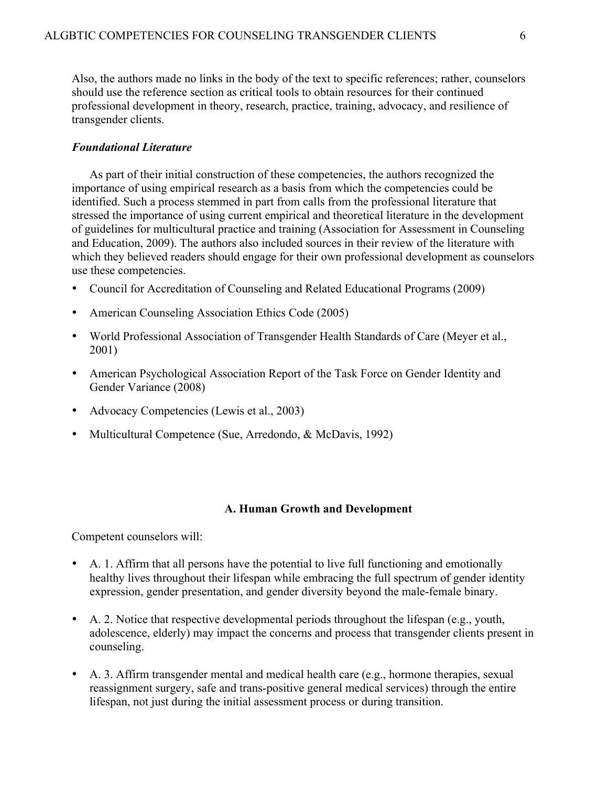Also, the authors made no links in the body of the text to specific references; rather, counselors should use the reference section as critical tools to obtain resources for their continued professional development in theory, research, practice, training, advocacy, and resilience of transgender clients.

### *Foundational Literature*

As part of their initial construction of these competencies, the authors recognized the importance of using empirical research as a basis from which the competencies could be identified. Such a process stemmed in part from calls from the professional literature that stressed the importance of using current empirical and theoretical literature in the development of guidelines for multicultural practice and training (Association for Assessment in Counseling and Education, 2009). The authors also included sources in their review of the literature with which they believed readers should engage for their own professional development as counselors use these competencies.

- Council for Accreditation of Counseling and Related Educational Programs (2009)
- American Counseling Association Ethics Code (2005)
- World Professional Association of Transgender Health Standards of Care (Meyer et al., 2001)
- American Psychological Association Report of the Task Force on Gender Identity and Gender Variance (2008)
- Advocacy Competencies (Lewis et al., 2003)
- Multicultural Competence (Sue, Arredondo, & McDavis, 1992)

### **A. Human Growth and Development**

- A. 1. Affirm that all persons have the potential to live full functioning and emotionally healthy lives throughout their lifespan while embracing the full spectrum of gender identity expression, gender presentation, and gender diversity beyond the male-female binary.
- A. 2. Notice that respective developmental periods throughout the lifespan (e.g., youth, adolescence, elderly) may impact the concerns and process that transgender clients present in counseling.
- A. 3. Affirm transgender mental and medical health care (e.g., hormone therapies, sexual reassignment surgery, safe and trans-positive general medical services) through the entire lifespan, not just during the initial assessment process or during transition.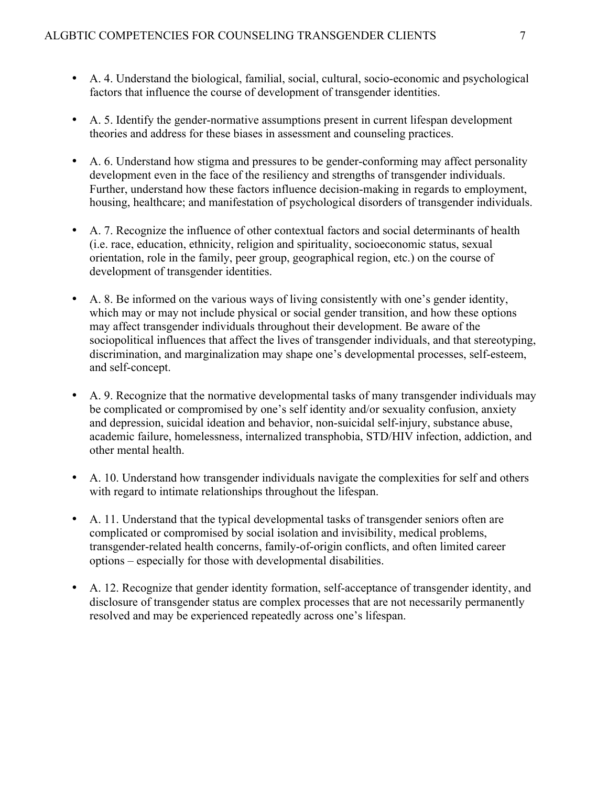- A. 4. Understand the biological, familial, social, cultural, socio-economic and psychological factors that influence the course of development of transgender identities.
- A. 5. Identify the gender-normative assumptions present in current lifespan development theories and address for these biases in assessment and counseling practices.
- A. 6. Understand how stigma and pressures to be gender-conforming may affect personality development even in the face of the resiliency and strengths of transgender individuals. Further, understand how these factors influence decision-making in regards to employment, housing, healthcare; and manifestation of psychological disorders of transgender individuals.
- A. 7. Recognize the influence of other contextual factors and social determinants of health (i.e. race, education, ethnicity, religion and spirituality, socioeconomic status, sexual orientation, role in the family, peer group, geographical region, etc.) on the course of development of transgender identities.
- A. 8. Be informed on the various ways of living consistently with one's gender identity, which may or may not include physical or social gender transition, and how these options may affect transgender individuals throughout their development. Be aware of the sociopolitical influences that affect the lives of transgender individuals, and that stereotyping, discrimination, and marginalization may shape one's developmental processes, self-esteem, and self-concept.
- A. 9. Recognize that the normative developmental tasks of many transgender individuals may be complicated or compromised by one's self identity and/or sexuality confusion, anxiety and depression, suicidal ideation and behavior, non-suicidal self-injury, substance abuse, academic failure, homelessness, internalized transphobia, STD/HIV infection, addiction, and other mental health.
- A. 10. Understand how transgender individuals navigate the complexities for self and others with regard to intimate relationships throughout the lifespan.
- A. 11. Understand that the typical developmental tasks of transgender seniors often are complicated or compromised by social isolation and invisibility, medical problems, transgender-related health concerns, family-of-origin conflicts, and often limited career options – especially for those with developmental disabilities.
- A. 12. Recognize that gender identity formation, self-acceptance of transgender identity, and disclosure of transgender status are complex processes that are not necessarily permanently resolved and may be experienced repeatedly across one's lifespan.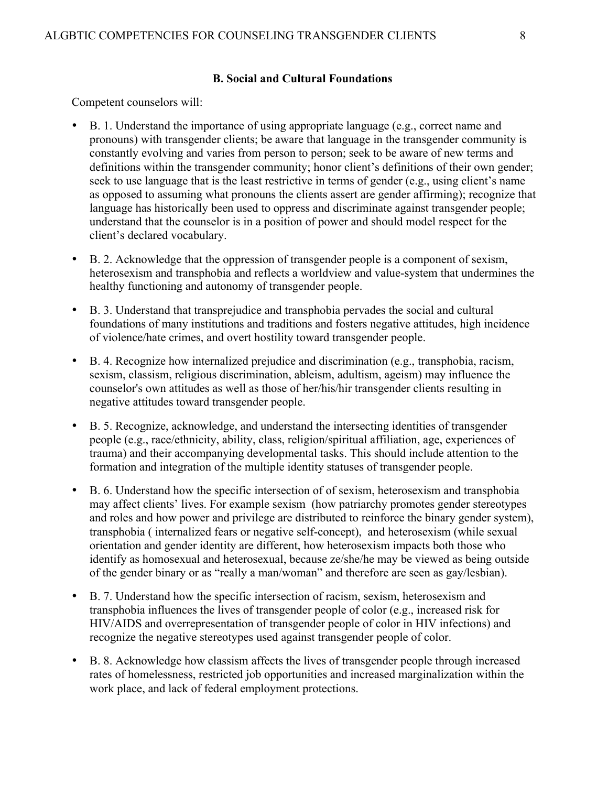### **B. Social and Cultural Foundations**

- B. 1. Understand the importance of using appropriate language (e.g., correct name and pronouns) with transgender clients; be aware that language in the transgender community is constantly evolving and varies from person to person; seek to be aware of new terms and definitions within the transgender community; honor client's definitions of their own gender; seek to use language that is the least restrictive in terms of gender (e.g., using client's name as opposed to assuming what pronouns the clients assert are gender affirming); recognize that language has historically been used to oppress and discriminate against transgender people; understand that the counselor is in a position of power and should model respect for the client's declared vocabulary.
- B. 2. Acknowledge that the oppression of transgender people is a component of sexism, heterosexism and transphobia and reflects a worldview and value-system that undermines the healthy functioning and autonomy of transgender people.
- B. 3. Understand that transprejudice and transphobia pervades the social and cultural foundations of many institutions and traditions and fosters negative attitudes, high incidence of violence/hate crimes, and overt hostility toward transgender people.
- B. 4. Recognize how internalized prejudice and discrimination (e.g., transphobia, racism, sexism, classism, religious discrimination, ableism, adultism, ageism) may influence the counselor's own attitudes as well as those of her/his/hir transgender clients resulting in negative attitudes toward transgender people.
- B. 5. Recognize, acknowledge, and understand the intersecting identities of transgender people (e.g., race/ethnicity, ability, class, religion/spiritual affiliation, age, experiences of trauma) and their accompanying developmental tasks. This should include attention to the formation and integration of the multiple identity statuses of transgender people.
- B. 6. Understand how the specific intersection of of sexism, heterosexism and transphobia may affect clients' lives. For example sexism (how patriarchy promotes gender stereotypes and roles and how power and privilege are distributed to reinforce the binary gender system), transphobia ( internalized fears or negative self-concept), and heterosexism (while sexual orientation and gender identity are different, how heterosexism impacts both those who identify as homosexual and heterosexual, because ze/she/he may be viewed as being outside of the gender binary or as "really a man/woman" and therefore are seen as gay/lesbian).
- B. 7. Understand how the specific intersection of racism, sexism, heterosexism and transphobia influences the lives of transgender people of color (e.g., increased risk for HIV/AIDS and overrepresentation of transgender people of color in HIV infections) and recognize the negative stereotypes used against transgender people of color.
- B. 8. Acknowledge how classism affects the lives of transgender people through increased rates of homelessness, restricted job opportunities and increased marginalization within the work place, and lack of federal employment protections.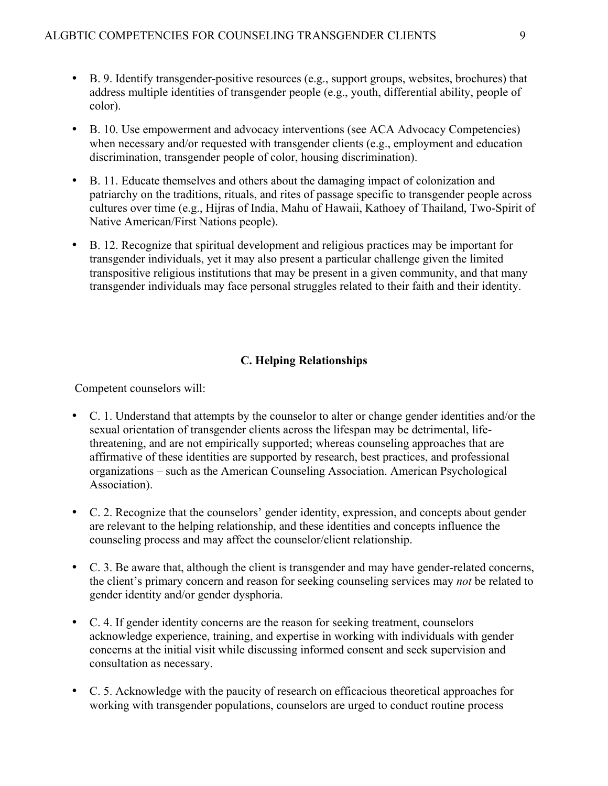- B. 9. Identify transgender-positive resources (e.g., support groups, websites, brochures) that address multiple identities of transgender people (e.g., youth, differential ability, people of color).
- B. 10. Use empowerment and advocacy interventions (see ACA Advocacy Competencies) when necessary and/or requested with transgender clients (e.g., employment and education discrimination, transgender people of color, housing discrimination).
- B. 11. Educate themselves and others about the damaging impact of colonization and patriarchy on the traditions, rituals, and rites of passage specific to transgender people across cultures over time (e.g., Hijras of India, Mahu of Hawaii, Kathoey of Thailand, Two-Spirit of Native American/First Nations people).
- B. 12. Recognize that spiritual development and religious practices may be important for transgender individuals, yet it may also present a particular challenge given the limited transpositive religious institutions that may be present in a given community, and that many transgender individuals may face personal struggles related to their faith and their identity.

# **C. Helping Relationships**

- C. 1. Understand that attempts by the counselor to alter or change gender identities and/or the sexual orientation of transgender clients across the lifespan may be detrimental, lifethreatening, and are not empirically supported; whereas counseling approaches that are affirmative of these identities are supported by research, best practices, and professional organizations – such as the American Counseling Association. American Psychological Association).
- C. 2. Recognize that the counselors' gender identity, expression, and concepts about gender are relevant to the helping relationship, and these identities and concepts influence the counseling process and may affect the counselor/client relationship.
- C. 3. Be aware that, although the client is transgender and may have gender-related concerns, the client's primary concern and reason for seeking counseling services may *not* be related to gender identity and/or gender dysphoria.
- C. 4. If gender identity concerns are the reason for seeking treatment, counselors acknowledge experience, training, and expertise in working with individuals with gender concerns at the initial visit while discussing informed consent and seek supervision and consultation as necessary.
- C. 5. Acknowledge with the paucity of research on efficacious theoretical approaches for working with transgender populations, counselors are urged to conduct routine process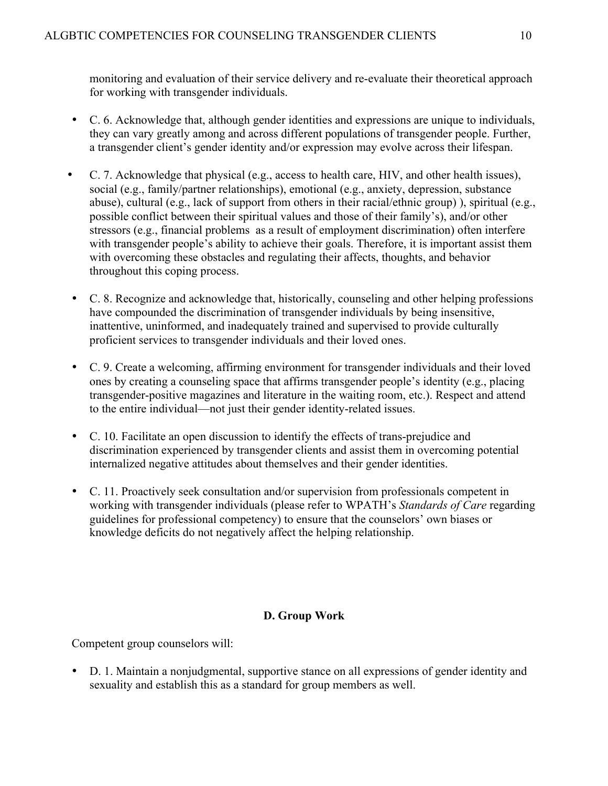monitoring and evaluation of their service delivery and re-evaluate their theoretical approach for working with transgender individuals.

- C. 6. Acknowledge that, although gender identities and expressions are unique to individuals, they can vary greatly among and across different populations of transgender people. Further, a transgender client's gender identity and/or expression may evolve across their lifespan.
- C. 7. Acknowledge that physical (e.g., access to health care, HIV, and other health issues), social (e.g., family/partner relationships), emotional (e.g., anxiety, depression, substance abuse), cultural (e.g., lack of support from others in their racial/ethnic group) ), spiritual (e.g., possible conflict between their spiritual values and those of their family's), and/or other stressors (e.g., financial problems as a result of employment discrimination) often interfere with transgender people's ability to achieve their goals. Therefore, it is important assist them with overcoming these obstacles and regulating their affects, thoughts, and behavior throughout this coping process.
- C. 8. Recognize and acknowledge that, historically, counseling and other helping professions have compounded the discrimination of transgender individuals by being insensitive, inattentive, uninformed, and inadequately trained and supervised to provide culturally proficient services to transgender individuals and their loved ones.
- C. 9. Create a welcoming, affirming environment for transgender individuals and their loved ones by creating a counseling space that affirms transgender people's identity (e.g., placing transgender-positive magazines and literature in the waiting room, etc.). Respect and attend to the entire individual—not just their gender identity-related issues.
- C. 10. Facilitate an open discussion to identify the effects of trans-prejudice and discrimination experienced by transgender clients and assist them in overcoming potential internalized negative attitudes about themselves and their gender identities.
- C. 11. Proactively seek consultation and/or supervision from professionals competent in working with transgender individuals (please refer to WPATH's *Standards of Care* regarding guidelines for professional competency) to ensure that the counselors' own biases or knowledge deficits do not negatively affect the helping relationship.

# **D. Group Work**

Competent group counselors will:

• D. 1. Maintain a nonjudgmental, supportive stance on all expressions of gender identity and sexuality and establish this as a standard for group members as well.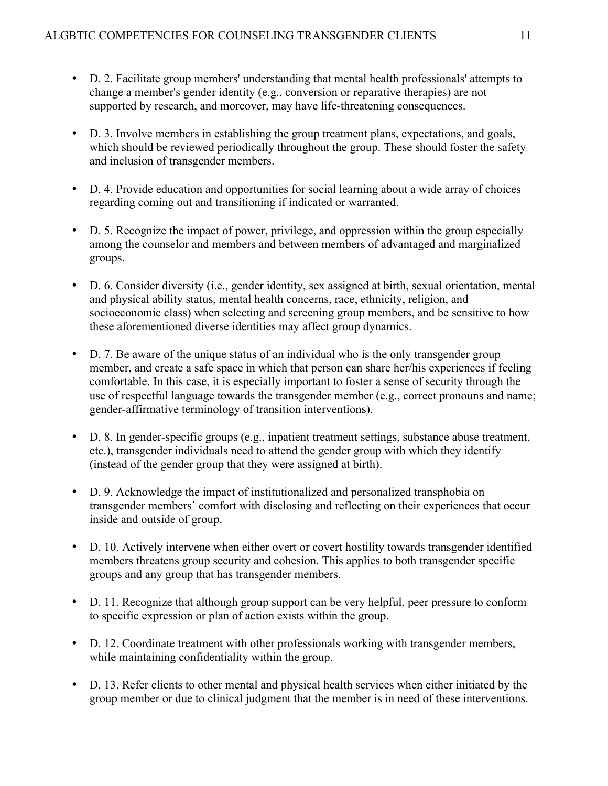- D. 2. Facilitate group members' understanding that mental health professionals' attempts to change a member's gender identity (e.g., conversion or reparative therapies) are not supported by research, and moreover, may have life-threatening consequences.
- D. 3. Involve members in establishing the group treatment plans, expectations, and goals, which should be reviewed periodically throughout the group. These should foster the safety and inclusion of transgender members.
- D. 4. Provide education and opportunities for social learning about a wide array of choices regarding coming out and transitioning if indicated or warranted.
- D. 5. Recognize the impact of power, privilege, and oppression within the group especially among the counselor and members and between members of advantaged and marginalized groups.
- D. 6. Consider diversity (i.e., gender identity, sex assigned at birth, sexual orientation, mental and physical ability status, mental health concerns, race, ethnicity, religion, and socioeconomic class) when selecting and screening group members, and be sensitive to how these aforementioned diverse identities may affect group dynamics.
- D. 7. Be aware of the unique status of an individual who is the only transgender group member, and create a safe space in which that person can share her/his experiences if feeling comfortable. In this case, it is especially important to foster a sense of security through the use of respectful language towards the transgender member (e.g., correct pronouns and name; gender-affirmative terminology of transition interventions).
- D. 8. In gender-specific groups (e.g., inpatient treatment settings, substance abuse treatment, etc.), transgender individuals need to attend the gender group with which they identify (instead of the gender group that they were assigned at birth).
- D. 9. Acknowledge the impact of institutionalized and personalized transphobia on transgender members' comfort with disclosing and reflecting on their experiences that occur inside and outside of group.
- D. 10. Actively intervene when either overt or covert hostility towards transgender identified members threatens group security and cohesion. This applies to both transgender specific groups and any group that has transgender members.
- D. 11. Recognize that although group support can be very helpful, peer pressure to conform to specific expression or plan of action exists within the group.
- D. 12. Coordinate treatment with other professionals working with transgender members, while maintaining confidentiality within the group.
- D. 13. Refer clients to other mental and physical health services when either initiated by the group member or due to clinical judgment that the member is in need of these interventions.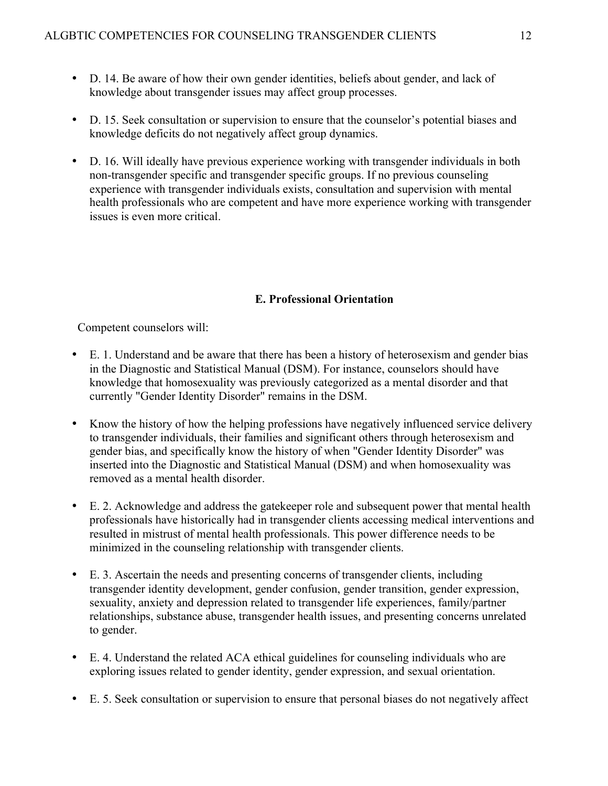- D. 14. Be aware of how their own gender identities, beliefs about gender, and lack of knowledge about transgender issues may affect group processes.
- D. 15. Seek consultation or supervision to ensure that the counselor's potential biases and knowledge deficits do not negatively affect group dynamics.
- D. 16. Will ideally have previous experience working with transgender individuals in both non-transgender specific and transgender specific groups. If no previous counseling experience with transgender individuals exists, consultation and supervision with mental health professionals who are competent and have more experience working with transgender issues is even more critical.

# **E. Professional Orientation**

- E. 1. Understand and be aware that there has been a history of heterosexism and gender bias in the Diagnostic and Statistical Manual (DSM). For instance, counselors should have knowledge that homosexuality was previously categorized as a mental disorder and that currently "Gender Identity Disorder" remains in the DSM.
- Know the history of how the helping professions have negatively influenced service delivery to transgender individuals, their families and significant others through heterosexism and gender bias, and specifically know the history of when "Gender Identity Disorder" was inserted into the Diagnostic and Statistical Manual (DSM) and when homosexuality was removed as a mental health disorder.
- E. 2. Acknowledge and address the gatekeeper role and subsequent power that mental health professionals have historically had in transgender clients accessing medical interventions and resulted in mistrust of mental health professionals. This power difference needs to be minimized in the counseling relationship with transgender clients.
- E. 3. Ascertain the needs and presenting concerns of transgender clients, including transgender identity development, gender confusion, gender transition, gender expression, sexuality, anxiety and depression related to transgender life experiences, family/partner relationships, substance abuse, transgender health issues, and presenting concerns unrelated to gender.
- E. 4. Understand the related ACA ethical guidelines for counseling individuals who are exploring issues related to gender identity, gender expression, and sexual orientation.
- E. 5. Seek consultation or supervision to ensure that personal biases do not negatively affect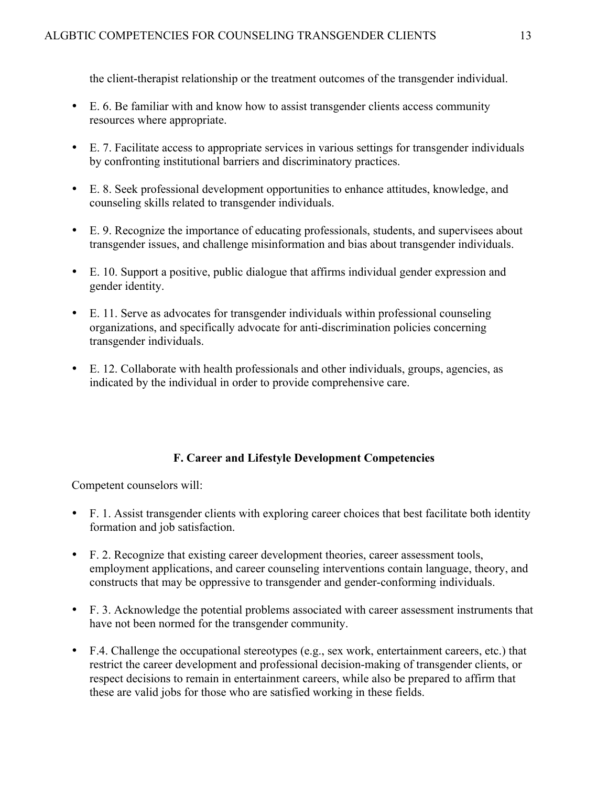the client-therapist relationship or the treatment outcomes of the transgender individual.

- E. 6. Be familiar with and know how to assist transgender clients access community resources where appropriate.
- E. 7. Facilitate access to appropriate services in various settings for transgender individuals by confronting institutional barriers and discriminatory practices.
- E. 8. Seek professional development opportunities to enhance attitudes, knowledge, and counseling skills related to transgender individuals.
- E. 9. Recognize the importance of educating professionals, students, and supervisees about transgender issues, and challenge misinformation and bias about transgender individuals.
- E. 10. Support a positive, public dialogue that affirms individual gender expression and gender identity.
- E. 11. Serve as advocates for transgender individuals within professional counseling organizations, and specifically advocate for anti-discrimination policies concerning transgender individuals.
- E. 12. Collaborate with health professionals and other individuals, groups, agencies, as indicated by the individual in order to provide comprehensive care.

# **F. Career and Lifestyle Development Competencies**

- F. 1. Assist transgender clients with exploring career choices that best facilitate both identity formation and job satisfaction.
- F. 2. Recognize that existing career development theories, career assessment tools, employment applications, and career counseling interventions contain language, theory, and constructs that may be oppressive to transgender and gender-conforming individuals.
- F. 3. Acknowledge the potential problems associated with career assessment instruments that have not been normed for the transgender community.
- F.4. Challenge the occupational stereotypes (e.g., sex work, entertainment careers, etc.) that restrict the career development and professional decision-making of transgender clients, or respect decisions to remain in entertainment careers, while also be prepared to affirm that these are valid jobs for those who are satisfied working in these fields.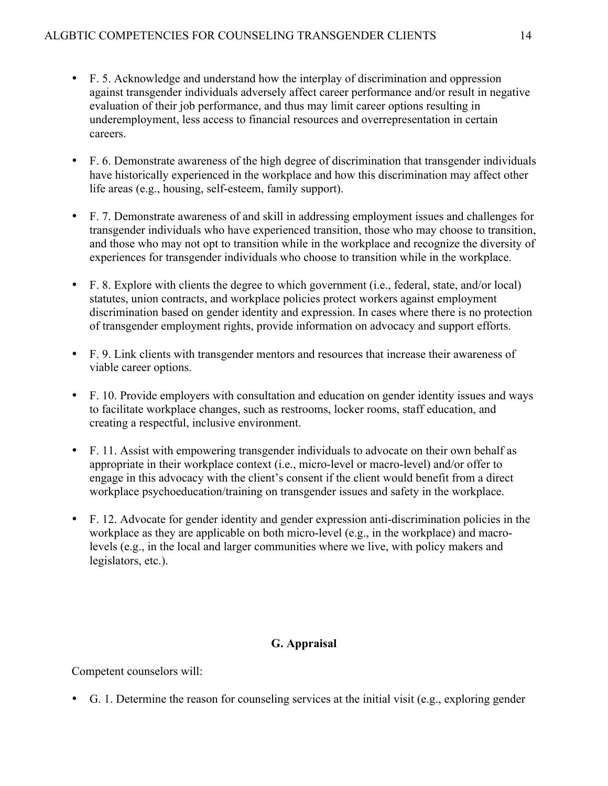- F. 5. Acknowledge and understand how the interplay of discrimination and oppression against transgender individuals adversely affect career performance and/or result in negative evaluation of their job performance, and thus may limit career options resulting in underemployment, less access to financial resources and overrepresentation in certain careers.
- F. 6. Demonstrate awareness of the high degree of discrimination that transgender individuals have historically experienced in the workplace and how this discrimination may affect other life areas (e.g., housing, self-esteem, family support).
- F. 7. Demonstrate awareness of and skill in addressing employment issues and challenges for transgender individuals who have experienced transition, those who may choose to transition, and those who may not opt to transition while in the workplace and recognize the diversity of experiences for transgender individuals who choose to transition while in the workplace.
- F. 8. Explore with clients the degree to which government (i.e., federal, state, and/or local) statutes, union contracts, and workplace policies protect workers against employment discrimination based on gender identity and expression. In cases where there is no protection of transgender employment rights, provide information on advocacy and support efforts.
- F. 9. Link clients with transgender mentors and resources that increase their awareness of viable career options.
- F. 10. Provide employers with consultation and education on gender identity issues and ways to facilitate workplace changes, such as restrooms, locker rooms, staff education, and creating a respectful, inclusive environment.
- F. 11. Assist with empowering transgender individuals to advocate on their own behalf as appropriate in their workplace context (i.e., micro-level or macro-level) and/or offer to engage in this advocacy with the client's consent if the client would benefit from a direct workplace psychoeducation/training on transgender issues and safety in the workplace.
- F. 12. Advocate for gender identity and gender expression anti-discrimination policies in the workplace as they are applicable on both micro-level (e.g., in the workplace) and macrolevels (e.g., in the local and larger communities where we live, with policy makers and legislators, etc.).

# **G. Appraisal**

Competent counselors will:

• G. 1. Determine the reason for counseling services at the initial visit (e.g., exploring gender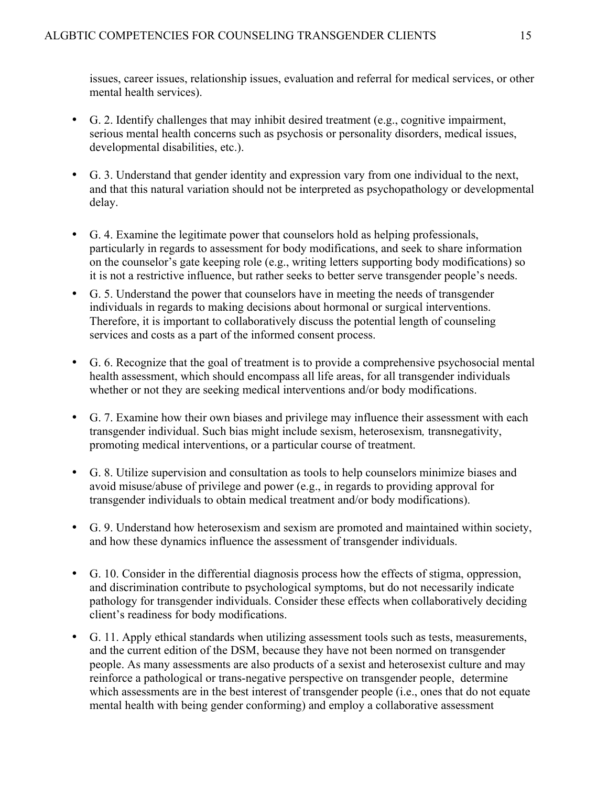issues, career issues, relationship issues, evaluation and referral for medical services, or other mental health services).

- G. 2. Identify challenges that may inhibit desired treatment (e.g., cognitive impairment, serious mental health concerns such as psychosis or personality disorders, medical issues, developmental disabilities, etc.).
- G. 3. Understand that gender identity and expression vary from one individual to the next, and that this natural variation should not be interpreted as psychopathology or developmental delay.
- G. 4. Examine the legitimate power that counselors hold as helping professionals, particularly in regards to assessment for body modifications, and seek to share information on the counselor's gate keeping role (e.g., writing letters supporting body modifications) so it is not a restrictive influence, but rather seeks to better serve transgender people's needs.
- G. 5. Understand the power that counselors have in meeting the needs of transgender individuals in regards to making decisions about hormonal or surgical interventions. Therefore, it is important to collaboratively discuss the potential length of counseling services and costs as a part of the informed consent process.
- G. 6. Recognize that the goal of treatment is to provide a comprehensive psychosocial mental health assessment, which should encompass all life areas, for all transgender individuals whether or not they are seeking medical interventions and/or body modifications.
- G. 7. Examine how their own biases and privilege may influence their assessment with each transgender individual. Such bias might include sexism, heterosexism*,* transnegativity, promoting medical interventions, or a particular course of treatment.
- G. 8. Utilize supervision and consultation as tools to help counselors minimize biases and avoid misuse/abuse of privilege and power (e.g., in regards to providing approval for transgender individuals to obtain medical treatment and/or body modifications).
- G. 9. Understand how heterosexism and sexism are promoted and maintained within society, and how these dynamics influence the assessment of transgender individuals.
- G. 10. Consider in the differential diagnosis process how the effects of stigma, oppression, and discrimination contribute to psychological symptoms, but do not necessarily indicate pathology for transgender individuals. Consider these effects when collaboratively deciding client's readiness for body modifications.
- G. 11. Apply ethical standards when utilizing assessment tools such as tests, measurements, and the current edition of the DSM, because they have not been normed on transgender people. As many assessments are also products of a sexist and heterosexist culture and may reinforce a pathological or trans-negative perspective on transgender people, determine which assessments are in the best interest of transgender people (i.e., ones that do not equate mental health with being gender conforming) and employ a collaborative assessment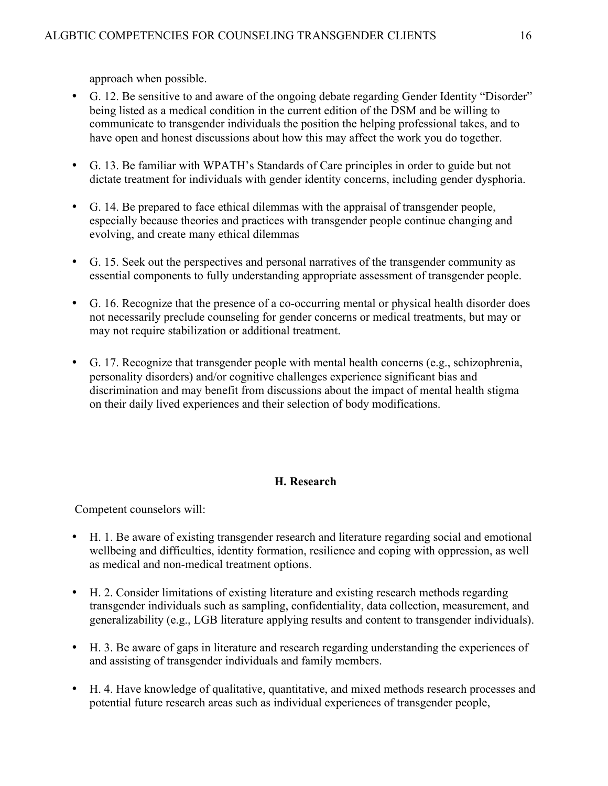approach when possible.

- G. 12. Be sensitive to and aware of the ongoing debate regarding Gender Identity "Disorder" being listed as a medical condition in the current edition of the DSM and be willing to communicate to transgender individuals the position the helping professional takes, and to have open and honest discussions about how this may affect the work you do together.
- G. 13. Be familiar with WPATH's Standards of Care principles in order to guide but not dictate treatment for individuals with gender identity concerns, including gender dysphoria.
- G. 14. Be prepared to face ethical dilemmas with the appraisal of transgender people, especially because theories and practices with transgender people continue changing and evolving, and create many ethical dilemmas
- G. 15. Seek out the perspectives and personal narratives of the transgender community as essential components to fully understanding appropriate assessment of transgender people.
- G. 16. Recognize that the presence of a co-occurring mental or physical health disorder does not necessarily preclude counseling for gender concerns or medical treatments, but may or may not require stabilization or additional treatment.
- G. 17. Recognize that transgender people with mental health concerns (e.g., schizophrenia, personality disorders) and/or cognitive challenges experience significant bias and discrimination and may benefit from discussions about the impact of mental health stigma on their daily lived experiences and their selection of body modifications.

# **H. Research**

- H. 1. Be aware of existing transgender research and literature regarding social and emotional wellbeing and difficulties, identity formation, resilience and coping with oppression, as well as medical and non-medical treatment options.
- H. 2. Consider limitations of existing literature and existing research methods regarding transgender individuals such as sampling, confidentiality, data collection, measurement, and generalizability (e.g., LGB literature applying results and content to transgender individuals).
- H. 3. Be aware of gaps in literature and research regarding understanding the experiences of and assisting of transgender individuals and family members.
- H. 4. Have knowledge of qualitative, quantitative, and mixed methods research processes and potential future research areas such as individual experiences of transgender people,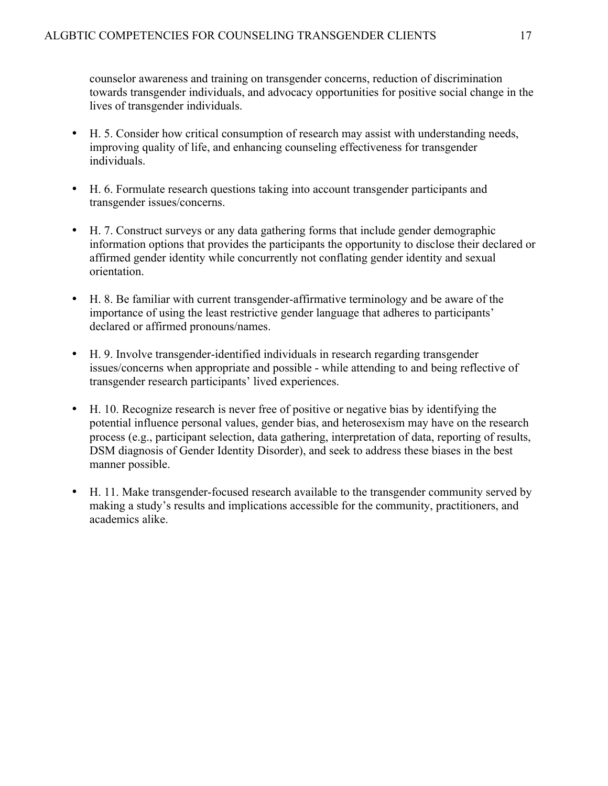counselor awareness and training on transgender concerns, reduction of discrimination towards transgender individuals, and advocacy opportunities for positive social change in the lives of transgender individuals.

- H. 5. Consider how critical consumption of research may assist with understanding needs, improving quality of life, and enhancing counseling effectiveness for transgender individuals.
- H. 6. Formulate research questions taking into account transgender participants and transgender issues/concerns.
- H. 7. Construct surveys or any data gathering forms that include gender demographic information options that provides the participants the opportunity to disclose their declared or affirmed gender identity while concurrently not conflating gender identity and sexual orientation.
- H. 8. Be familiar with current transgender-affirmative terminology and be aware of the importance of using the least restrictive gender language that adheres to participants' declared or affirmed pronouns/names.
- H. 9. Involve transgender-identified individuals in research regarding transgender issues/concerns when appropriate and possible - while attending to and being reflective of transgender research participants' lived experiences.
- H. 10. Recognize research is never free of positive or negative bias by identifying the potential influence personal values, gender bias, and heterosexism may have on the research process (e.g., participant selection, data gathering, interpretation of data, reporting of results, DSM diagnosis of Gender Identity Disorder), and seek to address these biases in the best manner possible.
- H. 11. Make transgender-focused research available to the transgender community served by making a study's results and implications accessible for the community, practitioners, and academics alike.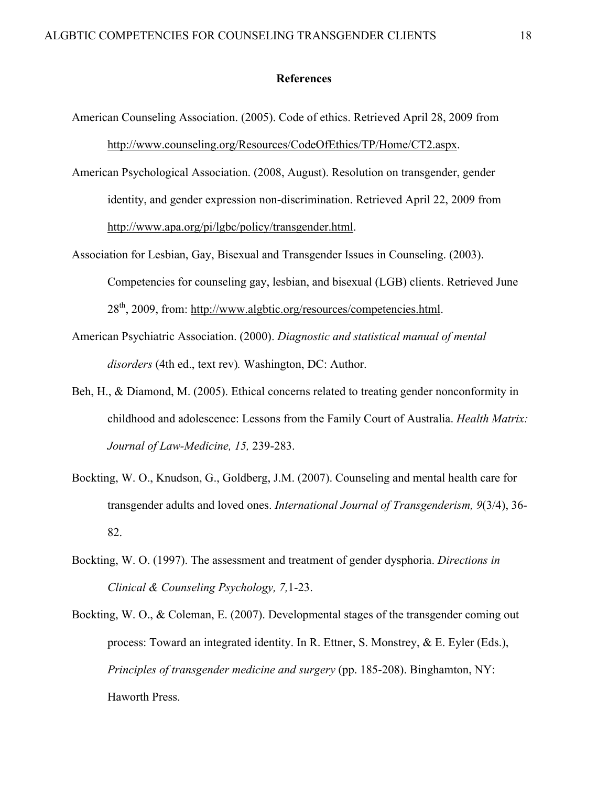#### **References**

- American Counseling Association. (2005). Code of ethics. Retrieved April 28, 2009 from http://www.counseling.org/Resources/CodeOfEthics/TP/Home/CT2.aspx.
- American Psychological Association. (2008, August). Resolution on transgender, gender identity, and gender expression non-discrimination. Retrieved April 22, 2009 from http://www.apa.org/pi/lgbc/policy/transgender.html.
- Association for Lesbian, Gay, Bisexual and Transgender Issues in Counseling. (2003). Competencies for counseling gay, lesbian, and bisexual (LGB) clients. Retrieved June 28<sup>th</sup>, 2009, from: http://www.algbtic.org/resources/competencies.html.
- American Psychiatric Association. (2000). *Diagnostic and statistical manual of mental disorders* (4th ed., text rev)*.* Washington, DC: Author.
- Beh, H., & Diamond, M. (2005). Ethical concerns related to treating gender nonconformity in childhood and adolescence: Lessons from the Family Court of Australia. *Health Matrix: Journal of Law-Medicine, 15,* 239-283.
- Bockting, W. O., Knudson, G., Goldberg, J.M. (2007). Counseling and mental health care for transgender adults and loved ones. *International Journal of Transgenderism, 9*(3/4), 36- 82.
- Bockting, W. O. (1997). The assessment and treatment of gender dysphoria. *Directions in Clinical & Counseling Psychology, 7,*1-23.
- Bockting, W. O., & Coleman, E. (2007). Developmental stages of the transgender coming out process: Toward an integrated identity. In R. Ettner, S. Monstrey, & E. Eyler (Eds.), *Principles of transgender medicine and surgery* (pp. 185-208). Binghamton, NY: Haworth Press.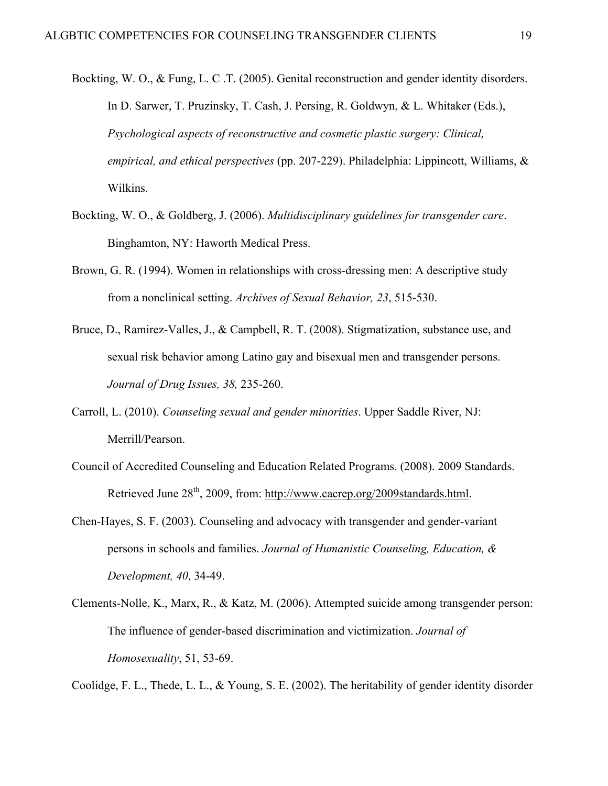- Bockting, W. O., & Fung, L. C .T. (2005). Genital reconstruction and gender identity disorders. In D. Sarwer, T. Pruzinsky, T. Cash, J. Persing, R. Goldwyn, & L. Whitaker (Eds.), *Psychological aspects of reconstructive and cosmetic plastic surgery: Clinical, empirical, and ethical perspectives* (pp. 207-229). Philadelphia: Lippincott, Williams, & Wilkins.
- Bockting, W. O., & Goldberg, J. (2006). *Multidisciplinary guidelines for transgender care*. Binghamton, NY: Haworth Medical Press.
- Brown, G. R. (1994). Women in relationships with cross-dressing men: A descriptive study from a nonclinical setting. *Archives of Sexual Behavior, 23*, 515-530.
- Bruce, D., Ramirez-Valles, J., & Campbell, R. T. (2008). Stigmatization, substance use, and sexual risk behavior among Latino gay and bisexual men and transgender persons. *Journal of Drug Issues, 38,* 235-260.
- Carroll, L. (2010). *Counseling sexual and gender minorities*. Upper Saddle River, NJ: Merrill/Pearson.
- Council of Accredited Counseling and Education Related Programs. (2008). 2009 Standards. Retrieved June 28<sup>th</sup>, 2009, from: http://www.cacrep.org/2009standards.html.
- Chen-Hayes, S. F. (2003). Counseling and advocacy with transgender and gender-variant persons in schools and families. *Journal of Humanistic Counseling, Education, & Development, 40*, 34-49.
- Clements-Nolle, K., Marx, R., & Katz, M. (2006). Attempted suicide among transgender person: The influence of gender-based discrimination and victimization. *Journal of Homosexuality*, 51, 53-69.

Coolidge, F. L., Thede, L. L., & Young, S. E. (2002). The heritability of gender identity disorder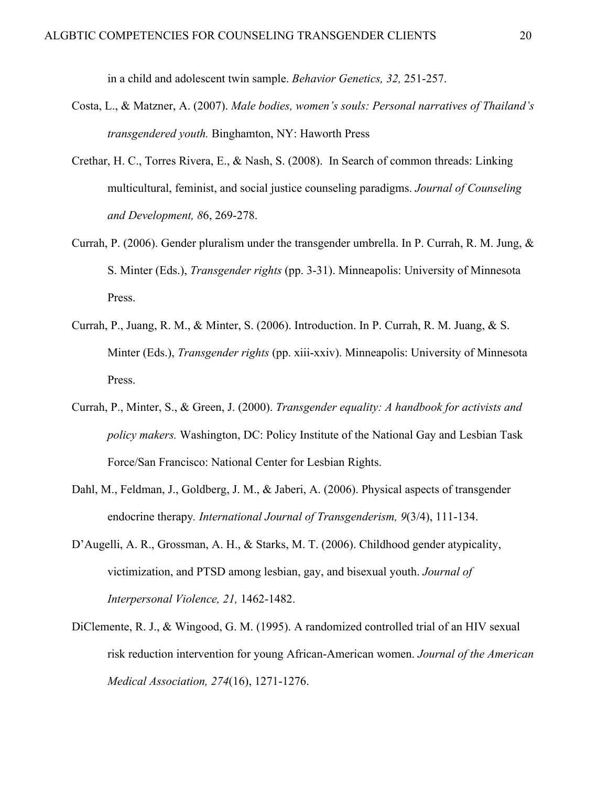in a child and adolescent twin sample. *Behavior Genetics, 32,* 251-257.

- Costa, L., & Matzner, A. (2007). *Male bodies, women's souls: Personal narratives of Thailand's transgendered youth.* Binghamton, NY: Haworth Press
- Crethar, H. C., Torres Rivera, E., & Nash, S. (2008). In Search of common threads: Linking multicultural, feminist, and social justice counseling paradigms. *Journal of Counseling and Development, 8*6, 269-278.
- Currah, P. (2006). Gender pluralism under the transgender umbrella. In P. Currah, R. M. Jung, & S. Minter (Eds.), *Transgender rights* (pp. 3-31). Minneapolis: University of Minnesota Press.
- Currah, P., Juang, R. M., & Minter, S. (2006). Introduction. In P. Currah, R. M. Juang, & S. Minter (Eds.), *Transgender rights* (pp. xiii-xxiv). Minneapolis: University of Minnesota Press.
- Currah, P., Minter, S., & Green, J. (2000). *Transgender equality: A handbook for activists and policy makers.* Washington, DC: Policy Institute of the National Gay and Lesbian Task Force/San Francisco: National Center for Lesbian Rights.
- Dahl, M., Feldman, J., Goldberg, J. M., & Jaberi, A. (2006). Physical aspects of transgender endocrine therapy*. International Journal of Transgenderism, 9*(3/4), 111-134.
- D'Augelli, A. R., Grossman, A. H., & Starks, M. T. (2006). Childhood gender atypicality, victimization, and PTSD among lesbian, gay, and bisexual youth. *Journal of Interpersonal Violence, 21,* 1462-1482.
- DiClemente, R. J., & Wingood, G. M. (1995). A randomized controlled trial of an HIV sexual risk reduction intervention for young African-American women. *Journal of the American Medical Association, 274*(16), 1271-1276.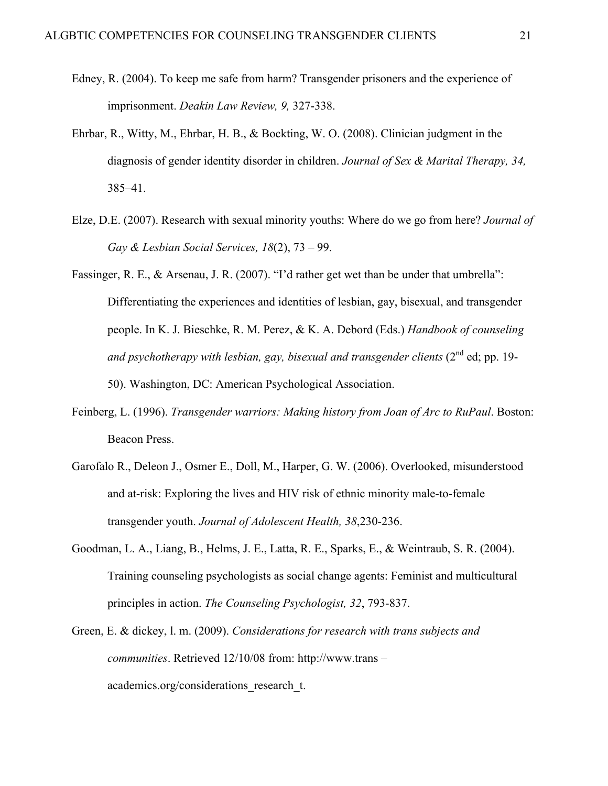- Edney, R. (2004). To keep me safe from harm? Transgender prisoners and the experience of imprisonment. *Deakin Law Review, 9,* 327-338.
- Ehrbar, R., Witty, M., Ehrbar, H. B., & Bockting, W. O. (2008). Clinician judgment in the diagnosis of gender identity disorder in children. *Journal of Sex & Marital Therapy, 34,*  385–41.
- Elze, D.E. (2007). Research with sexual minority youths: Where do we go from here? *Journal of Gay & Lesbian Social Services, 18*(2), 73 – 99.
- Fassinger, R. E., & Arsenau, J. R. (2007). "I'd rather get wet than be under that umbrella": Differentiating the experiences and identities of lesbian, gay, bisexual, and transgender people. In K. J. Bieschke, R. M. Perez, & K. A. Debord (Eds.) *Handbook of counseling and psychotherapy with lesbian, gay, bisexual and transgender clients* (2<sup>nd</sup> ed; pp. 19-50). Washington, DC: American Psychological Association.
- Feinberg, L. (1996). *Transgender warriors: Making history from Joan of Arc to RuPaul*. Boston: Beacon Press.
- Garofalo R., Deleon J., Osmer E., Doll, M., Harper, G. W. (2006). Overlooked, misunderstood and at-risk: Exploring the lives and HIV risk of ethnic minority male-to-female transgender youth. *Journal of Adolescent Health, 38*,230-236.
- Goodman, L. A., Liang, B., Helms, J. E., Latta, R. E., Sparks, E., & Weintraub, S. R. (2004). Training counseling psychologists as social change agents: Feminist and multicultural principles in action. *The Counseling Psychologist, 32*, 793-837.
- Green, E. & dickey, l. m. (2009). *Considerations for research with trans subjects and communities*. Retrieved 12/10/08 from: http://www.trans – academics.org/considerations\_research\_t.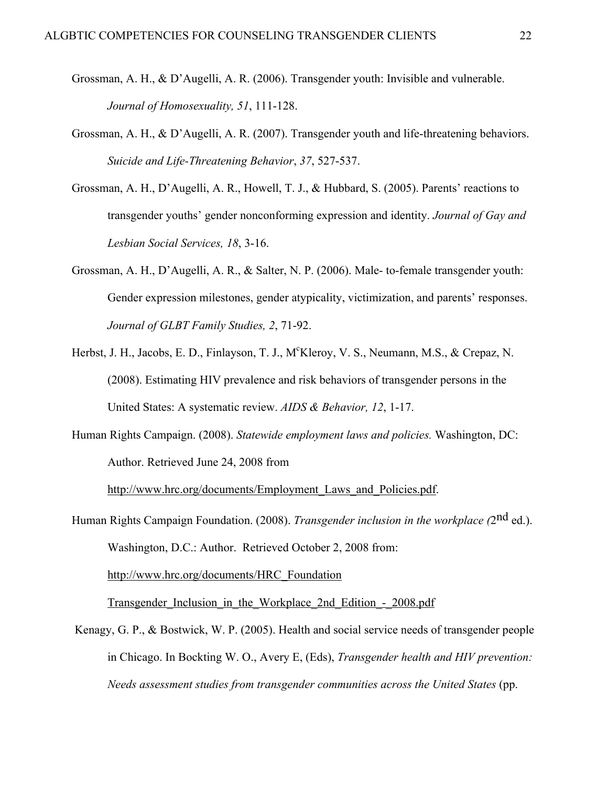- Grossman, A. H., & D'Augelli, A. R. (2006). Transgender youth: Invisible and vulnerable. *Journal of Homosexuality, 51*, 111-128.
- Grossman, A. H., & D'Augelli, A. R. (2007). Transgender youth and life-threatening behaviors. *Suicide and Life-Threatening Behavior*, *37*, 527-537.
- Grossman, A. H., D'Augelli, A. R., Howell, T. J., & Hubbard, S. (2005). Parents' reactions to transgender youths' gender nonconforming expression and identity. *Journal of Gay and Lesbian Social Services, 18*, 3-16.
- Grossman, A. H., D'Augelli, A. R., & Salter, N. P. (2006). Male- to-female transgender youth: Gender expression milestones, gender atypicality, victimization, and parents' responses. *Journal of GLBT Family Studies, 2*, 71-92.
- Herbst, J. H., Jacobs, E. D., Finlayson, T. J., M°Kleroy, V. S., Neumann, M.S., & Crepaz, N. (2008). Estimating HIV prevalence and risk behaviors of transgender persons in the United States: A systematic review. *AIDS & Behavior, 12*, 1-17.
- Human Rights Campaign. (2008). *Statewide employment laws and policies.* Washington, DC: Author. Retrieved June 24, 2008 from

http://www.hrc.org/documents/Employment\_Laws\_and\_Policies.pdf.

Human Rights Campaign Foundation. (2008). *Transgender inclusion in the workplace (*2nd ed.). Washington, D.C.: Author. Retrieved October 2, 2008 from:

http://www.hrc.org/documents/HRC\_Foundation

Transgender Inclusion in the Workplace 2nd Edition - 2008.pdf

Kenagy, G. P., & Bostwick, W. P. (2005). Health and social service needs of transgender people in Chicago. In Bockting W. O., Avery E, (Eds), *Transgender health and HIV prevention: Needs assessment studies from transgender communities across the United States* (pp.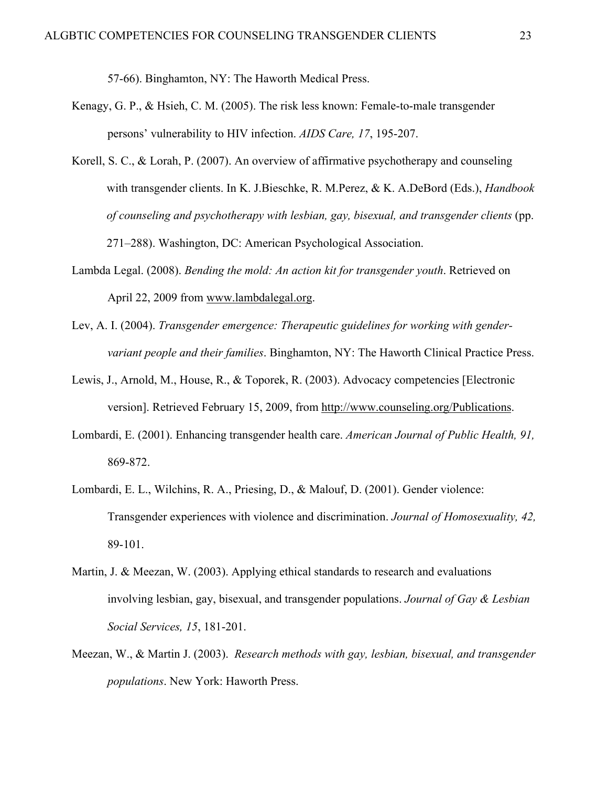57-66). Binghamton, NY: The Haworth Medical Press.

- Kenagy, G. P., & Hsieh, C. M. (2005). The risk less known: Female-to-male transgender persons' vulnerability to HIV infection. *AIDS Care, 17*, 195-207.
- Korell, S. C., & Lorah, P. (2007). An overview of affirmative psychotherapy and counseling with transgender clients. In K. J.Bieschke, R. M.Perez, & K. A.DeBord (Eds.), *Handbook of counseling and psychotherapy with lesbian, gay, bisexual, and transgender clients* (pp. 271–288). Washington, DC: American Psychological Association.
- Lambda Legal. (2008). *Bending the mold: An action kit for transgender youth*. Retrieved on April 22, 2009 from www.lambdalegal.org.
- Lev, A. I. (2004). *Transgender emergence: Therapeutic guidelines for working with gendervariant people and their families*. Binghamton, NY: The Haworth Clinical Practice Press.
- Lewis, J., Arnold, M., House, R., & Toporek, R. (2003). Advocacy competencies [Electronic version]. Retrieved February 15, 2009, from http://www.counseling.org/Publications.
- Lombardi, E. (2001). Enhancing transgender health care. *American Journal of Public Health, 91,*  869-872.
- Lombardi, E. L., Wilchins, R. A., Priesing, D., & Malouf, D. (2001). Gender violence: Transgender experiences with violence and discrimination. *Journal of Homosexuality, 42,*  89-101.
- Martin, J. & Meezan, W. (2003). Applying ethical standards to research and evaluations involving lesbian, gay, bisexual, and transgender populations. *Journal of Gay & Lesbian Social Services, 15*, 181-201.
- Meezan, W., & Martin J. (2003). *Research methods with gay, lesbian, bisexual, and transgender populations*. New York: Haworth Press.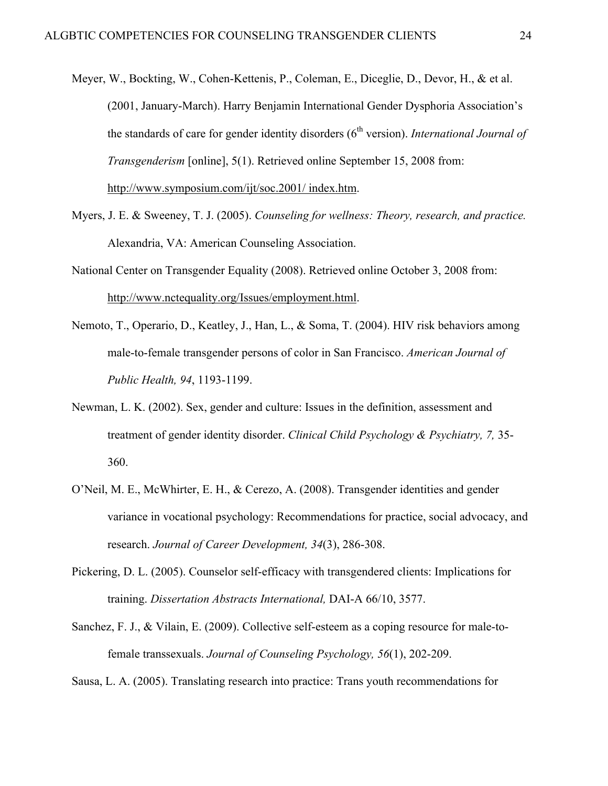- Meyer, W., Bockting, W., Cohen-Kettenis, P., Coleman, E., Diceglie, D., Devor, H., & et al. (2001, January-March). Harry Benjamin International Gender Dysphoria Association's the standards of care for gender identity disorders (6<sup>th</sup> version). *International Journal of Transgenderism* [online], 5(1). Retrieved online September 15, 2008 from: http://www.symposium.com/ijt/soc.2001/ index.htm.
- Myers, J. E. & Sweeney, T. J. (2005). *Counseling for wellness: Theory, research, and practice.* Alexandria, VA: American Counseling Association.
- National Center on Transgender Equality (2008). Retrieved online October 3, 2008 from: http://www.nctequality.org/Issues/employment.html.
- Nemoto, T., Operario, D., Keatley, J., Han, L., & Soma, T. (2004). HIV risk behaviors among male-to-female transgender persons of color in San Francisco. *American Journal of Public Health, 94*, 1193-1199.
- Newman, L. K. (2002). Sex, gender and culture: Issues in the definition, assessment and treatment of gender identity disorder. *Clinical Child Psychology & Psychiatry, 7,* 35- 360.
- O'Neil, M. E., McWhirter, E. H., & Cerezo, A. (2008). Transgender identities and gender variance in vocational psychology: Recommendations for practice, social advocacy, and research. *Journal of Career Development, 34*(3), 286-308.
- Pickering, D. L. (2005). Counselor self-efficacy with transgendered clients: Implications for training. *Dissertation Abstracts International,* DAI-A 66/10, 3577.
- Sanchez, F. J., & Vilain, E. (2009). Collective self-esteem as a coping resource for male-tofemale transsexuals. *Journal of Counseling Psychology, 56*(1), 202-209.

Sausa, L. A. (2005). Translating research into practice: Trans youth recommendations for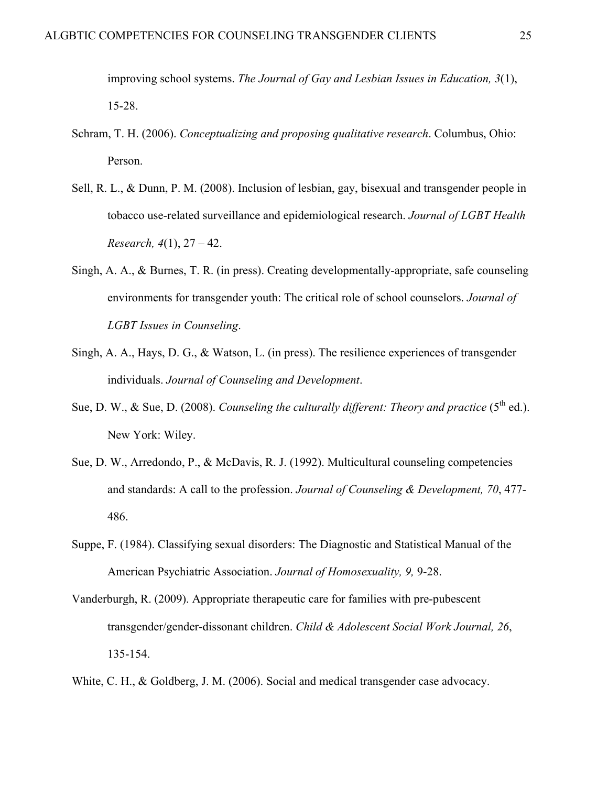improving school systems. *The Journal of Gay and Lesbian Issues in Education, 3*(1), 15-28.

- Schram, T. H. (2006). *Conceptualizing and proposing qualitative research*. Columbus, Ohio: Person.
- Sell, R. L., & Dunn, P. M. (2008). Inclusion of lesbian, gay, bisexual and transgender people in tobacco use-related surveillance and epidemiological research. *Journal of LGBT Health Research, 4*(1), 27 – 42.
- Singh, A. A., & Burnes, T. R. (in press). Creating developmentally-appropriate, safe counseling environments for transgender youth: The critical role of school counselors. *Journal of LGBT Issues in Counseling*.
- Singh, A. A., Hays, D. G., & Watson, L. (in press). The resilience experiences of transgender individuals. *Journal of Counseling and Development*.
- Sue, D. W., & Sue, D. (2008). *Counseling the culturally different: Theory and practice* ( $5<sup>th</sup>$  ed.). New York: Wiley.
- Sue, D. W., Arredondo, P., & McDavis, R. J. (1992). Multicultural counseling competencies and standards: A call to the profession. *Journal of Counseling & Development, 70*, 477- 486.
- Suppe, F. (1984). Classifying sexual disorders: The Diagnostic and Statistical Manual of the American Psychiatric Association. *Journal of Homosexuality, 9,* 9-28.
- Vanderburgh, R. (2009). Appropriate therapeutic care for families with pre-pubescent transgender/gender-dissonant children. *Child & Adolescent Social Work Journal, 26*, 135-154.
- White, C. H., & Goldberg, J. M. (2006). Social and medical transgender case advocacy.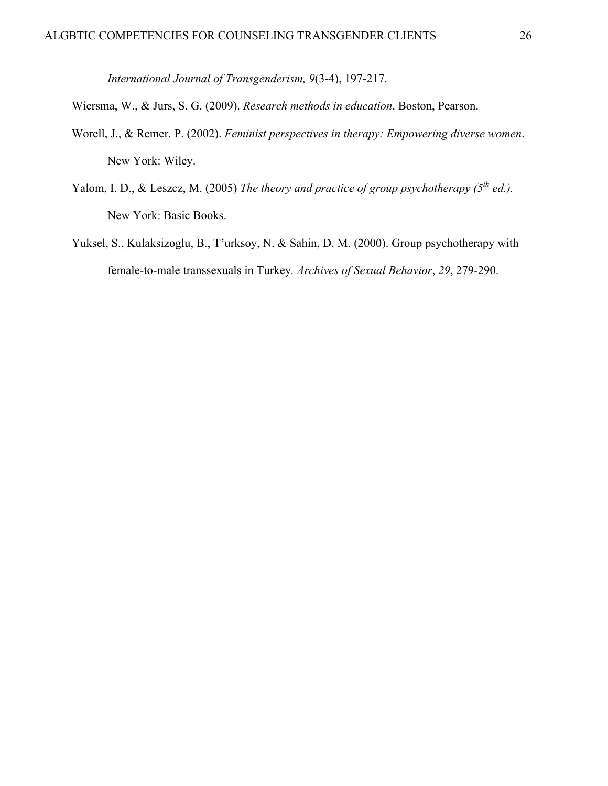*International Journal of Transgenderism, 9*(3-4), 197-217.

Wiersma, W., & Jurs, S. G. (2009). *Research methods in education*. Boston, Pearson.

- Worell, J., & Remer. P. (2002). *Feminist perspectives in therapy: Empowering diverse women*. New York: Wiley.
- Yalom, I. D., & Leszcz, M. (2005) The theory and practice of group psychotherapy (5<sup>th</sup> ed.). New York: Basic Books.
- Yuksel, S., Kulaksizoglu, B., T'urksoy, N. & Sahin, D. M. (2000). Group psychotherapy with female-to-male transsexuals in Turkey*. Archives of Sexual Behavior*, *29*, 279-290.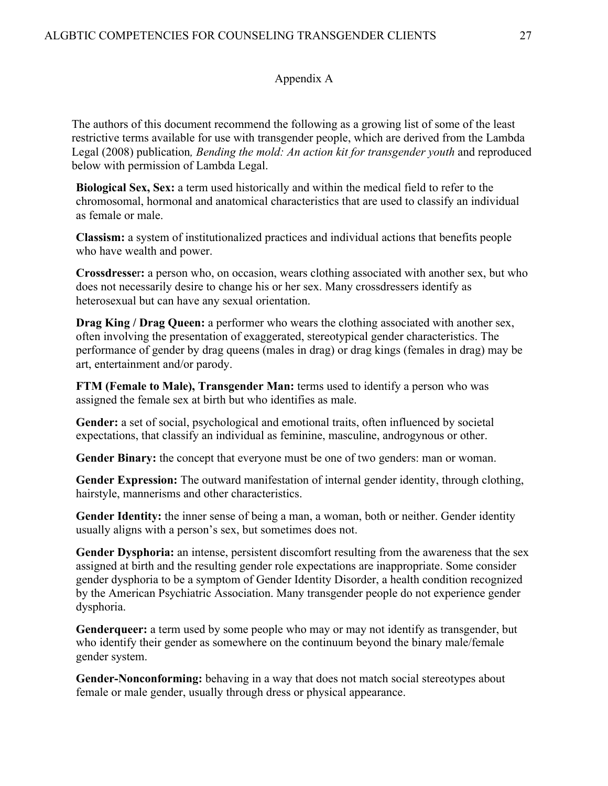# Appendix A

The authors of this document recommend the following as a growing list of some of the least restrictive terms available for use with transgender people, which are derived from the Lambda Legal (2008) publication*, Bending the mold: An action kit for transgender youth* and reproduced below with permission of Lambda Legal.

**Biological Sex, Sex:** a term used historically and within the medical field to refer to the chromosomal, hormonal and anatomical characteristics that are used to classify an individual as female or male.

**Classism:** a system of institutionalized practices and individual actions that benefits people who have wealth and power.

**Crossdresse**r**:** a person who, on occasion, wears clothing associated with another sex, but who does not necessarily desire to change his or her sex. Many crossdressers identify as heterosexual but can have any sexual orientation.

**Drag King / Drag Queen:** a performer who wears the clothing associated with another sex, often involving the presentation of exaggerated, stereotypical gender characteristics. The performance of gender by drag queens (males in drag) or drag kings (females in drag) may be art, entertainment and/or parody.

**FTM (Female to Male), Transgender Man:** terms used to identify a person who was assigned the female sex at birth but who identifies as male.

**Gender:** a set of social, psychological and emotional traits, often influenced by societal expectations, that classify an individual as feminine, masculine, androgynous or other.

**Gender Binary:** the concept that everyone must be one of two genders: man or woman.

**Gender Expression:** The outward manifestation of internal gender identity, through clothing, hairstyle, mannerisms and other characteristics.

**Gender Identity:** the inner sense of being a man, a woman, both or neither. Gender identity usually aligns with a person's sex, but sometimes does not.

**Gender Dysphoria:** an intense, persistent discomfort resulting from the awareness that the sex assigned at birth and the resulting gender role expectations are inappropriate. Some consider gender dysphoria to be a symptom of Gender Identity Disorder, a health condition recognized by the American Psychiatric Association. Many transgender people do not experience gender dysphoria.

**Genderqueer:** a term used by some people who may or may not identify as transgender, but who identify their gender as somewhere on the continuum beyond the binary male/female gender system.

**Gender-Nonconforming:** behaving in a way that does not match social stereotypes about female or male gender, usually through dress or physical appearance.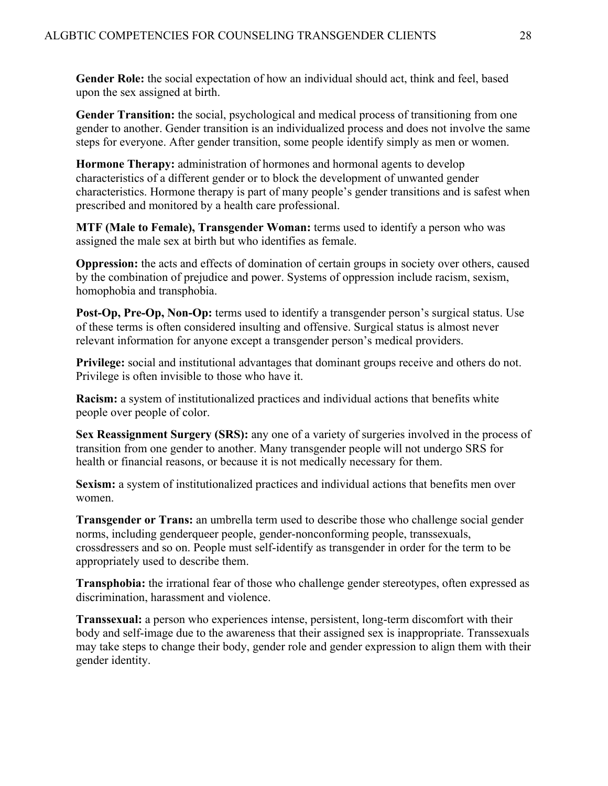**Gender Role:** the social expectation of how an individual should act, think and feel, based upon the sex assigned at birth.

**Gender Transition:** the social, psychological and medical process of transitioning from one gender to another. Gender transition is an individualized process and does not involve the same steps for everyone. After gender transition, some people identify simply as men or women.

**Hormone Therapy:** administration of hormones and hormonal agents to develop characteristics of a different gender or to block the development of unwanted gender characteristics. Hormone therapy is part of many people's gender transitions and is safest when prescribed and monitored by a health care professional.

**MTF (Male to Female), Transgender Woman:** terms used to identify a person who was assigned the male sex at birth but who identifies as female.

**Oppression:** the acts and effects of domination of certain groups in society over others, caused by the combination of prejudice and power. Systems of oppression include racism, sexism, homophobia and transphobia.

**Post-Op, Pre-Op, Non-Op:** terms used to identify a transgender person's surgical status. Use of these terms is often considered insulting and offensive. Surgical status is almost never relevant information for anyone except a transgender person's medical providers.

**Privilege:** social and institutional advantages that dominant groups receive and others do not. Privilege is often invisible to those who have it.

**Racism:** a system of institutionalized practices and individual actions that benefits white people over people of color.

**Sex Reassignment Surgery (SRS):** any one of a variety of surgeries involved in the process of transition from one gender to another. Many transgender people will not undergo SRS for health or financial reasons, or because it is not medically necessary for them.

**Sexism:** a system of institutionalized practices and individual actions that benefits men over women.

**Transgender or Trans:** an umbrella term used to describe those who challenge social gender norms, including genderqueer people, gender-nonconforming people, transsexuals, crossdressers and so on. People must self-identify as transgender in order for the term to be appropriately used to describe them.

**Transphobia:** the irrational fear of those who challenge gender stereotypes, often expressed as discrimination, harassment and violence.

**Transsexual:** a person who experiences intense, persistent, long-term discomfort with their body and self-image due to the awareness that their assigned sex is inappropriate. Transsexuals may take steps to change their body, gender role and gender expression to align them with their gender identity.